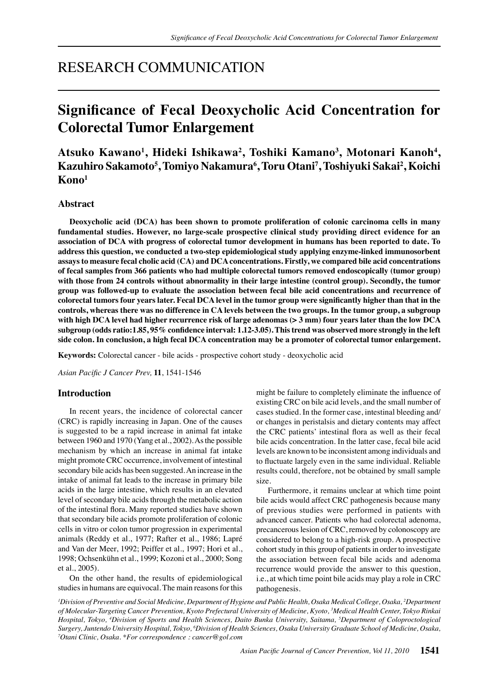# RESEARCH COMMUNICATION

# **Significance of Fecal Deoxycholic Acid Concentration for Colorectal Tumor Enlargement**

**Atsuko Kawano1 , Hideki Ishikawa2 , Toshiki Kamano3 , Motonari Kanoh4 , Kazuhiro Sakamoto5 , Tomiyo Nakamura6 , Toru Otani7 , Toshiyuki Sakai2 , Koichi Kono1**

## **Abstract**

**Deoxycholic acid (DCA) has been shown to promote proliferation of colonic carcinoma cells in many fundamental studies. However, no large-scale prospective clinical study providing direct evidence for an association of DCA with progress of colorectal tumor development in humans has been reported to date. To address this question, we conducted a two-step epidemiological study applying enzyme-linked immunosorbent assays to measure fecal cholic acid (CA) and DCA concentrations. Firstly, we compared bile acid concentrations of fecal samples from 366 patients who had multiple colorectal tumors removed endoscopically (tumor group) with those from 24 controls without abnormality in their large intestine (control group). Secondly, the tumor group was followed-up to evaluate the association between fecal bile acid concentrations and recurrence of colorectal tumors four years later. Fecal DCA level in the tumor group were significantly higher than that in the controls, whereas there was no difference in CA levels between the two groups. In the tumor group, a subgroup with high DCA level had higher recurrence risk of large adenomas (> 3 mm) four years later than the low DCA subgroup (odds ratio:1.85, 95% confidence interval: 1.12-3.05). This trend was observed more strongly in the left side colon. In conclusion, a high fecal DCA concentration may be a promoter of colorectal tumor enlargement.**

**Keywords:** Colorectal cancer - bile acids - prospective cohort study - deoxycholic acid

*Asian Pacific J Cancer Prev,* **11**, 1541-1546

# **Introduction**

In recent years, the incidence of colorectal cancer (CRC) is rapidly increasing in Japan. One of the causes is suggested to be a rapid increase in animal fat intake between 1960 and 1970 (Yang et al., 2002). As the possible mechanism by which an increase in animal fat intake might promote CRC occurrence, involvement of intestinal secondary bile acids has been suggested. An increase in the intake of animal fat leads to the increase in primary bile acids in the large intestine, which results in an elevated level of secondary bile acids through the metabolic action of the intestinal flora. Many reported studies have shown that secondary bile acids promote proliferation of colonic cells in vitro or colon tumor progression in experimental animals (Reddy et al., 1977; Rafter et al., 1986; Lapré and Van der Meer, 1992; Peiffer et al., 1997; Hori et al., 1998; Ochsenkühn et al., 1999; Kozoni et al., 2000; Song et al., 2005).

On the other hand, the results of epidemiological studies in humans are equivocal. The main reasons for this

might be failure to completely eliminate the influence of existing CRC on bile acid levels, and the small number of cases studied. In the former case, intestinal bleeding and/ or changes in peristalsis and dietary contents may affect the CRC patients' intestinal flora as well as their fecal bile acids concentration. In the latter case, fecal bile acid levels are known to be inconsistent among individuals and to fluctuate largely even in the same individual. Reliable results could, therefore, not be obtained by small sample size.

Furthermore, it remains unclear at which time point bile acids would affect CRC pathogenesis because many of previous studies were performed in patients with advanced cancer. Patients who had colorectal adenoma, precancerous lesion of CRC, removed by colonoscopy are considered to belong to a high-risk group. A prospective cohort study in this group of patients in order to investigate the association between fecal bile acids and adenoma recurrence would provide the answer to this question, i.e., at which time point bile acids may play a role in CRC pathogenesis.

*1 Division of Preventive and Social Medicine, Department of Hygiene and Public Health, Osaka Medical College, Osaka, 2 Department of Molecular-Targeting Cancer Prevention, Kyoto Prefectural University of Medicine, Kyoto, <sup>3</sup> Medical Health Center, Tokyo Rinkai Hospital, Tokyo, <sup>4</sup> Division of Sports and Health Sciences, Daito Bunka University, Saitama, <sup>5</sup> Department of Coloproctological Surgery, Juntendo University Hospital, Tokyo, <sup>6</sup> Division of Health Sciences, Osaka University Graduate School of Medicine, Osaka, 7 Otani Clinic, Osaka. \*For correspondence : cancer@gol.com*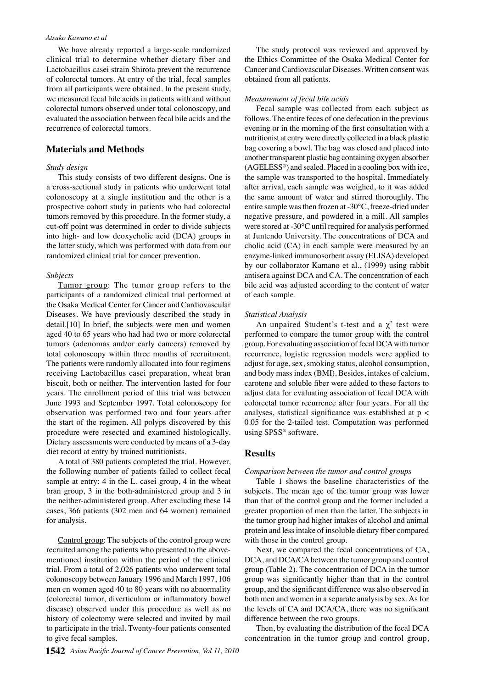#### *Atsuko Kawano et al*

We have already reported a large-scale randomized clinical trial to determine whether dietary fiber and Lactobacillus casei strain Shirota prevent the recurrence of colorectal tumors. At entry of the trial, fecal samples from all participants were obtained. In the present study, we measured fecal bile acids in patients with and without colorectal tumors observed under total colonoscopy, and evaluated the association between fecal bile acids and the recurrence of colorectal tumors.

# **Materials and Methods**

## *Study design*

This study consists of two different designs. One is a cross-sectional study in patients who underwent total colonoscopy at a single institution and the other is a prospective cohort study in patients who had colorectal tumors removed by this procedure. In the former study, a cut-off point was determined in order to divide subjects into high- and low deoxycholic acid (DCA) groups in the latter study, which was performed with data from our randomized clinical trial for cancer prevention.

#### *Subjects*

Tumor group: The tumor group refers to the participants of a randomized clinical trial performed at the Osaka Medical Center for Cancer and Cardiovascular Diseases. We have previously described the study in detail.[10] In brief, the subjects were men and women aged 40 to 65 years who had had two or more colorectal tumors (adenomas and/or early cancers) removed by total colonoscopy within three months of recruitment. The patients were randomly allocated into four regimens receiving Lactobacillus casei preparation, wheat bran biscuit, both or neither. The intervention lasted for four years. The enrollment period of this trial was between June 1993 and September 1997. Total colonoscopy for observation was performed two and four years after the start of the regimen. All polyps discovered by this procedure were resected and examined histologically. Dietary assessments were conducted by means of a 3-day diet record at entry by trained nutritionists.

A total of 380 patients completed the trial. However, the following number of patients failed to collect fecal sample at entry: 4 in the L. casei group, 4 in the wheat bran group, 3 in the both-administered group and 3 in the neither-administered group. After excluding these 14 cases, 366 patients (302 men and 64 women) remained for analysis.

Control group: The subjects of the control group were recruited among the patients who presented to the abovementioned institution within the period of the clinical trial. From a total of 2,026 patients who underwent total colonoscopy between January 1996 and March 1997, 106 men en women aged 40 to 80 years with no abnormality (colorectal tumor, diverticulum or inflammatory bowel disease) observed under this procedure as well as no history of colectomy were selected and invited by mail to participate in the trial. Twenty-four patients consented to give fecal samples.

The study protocol was reviewed and approved by the Ethics Committee of the Osaka Medical Center for Cancer and Cardiovascular Diseases. Written consent was obtained from all patients.

## *Measurement of fecal bile acids*

Fecal sample was collected from each subject as follows. The entire feces of one defecation in the previous evening or in the morning of the first consultation with a nutritionist at entry were directly collected in a black plastic bag covering a bowl. The bag was closed and placed into another transparent plastic bag containing oxygen absorber (AGELESS®) and sealed. Placed in a cooling box with ice, the sample was transported to the hospital. Immediately after arrival, each sample was weighed, to it was added the same amount of water and stirred thoroughly. The entire sample was then frozen at -30°C, freeze-dried under negative pressure, and powdered in a mill. All samples were stored at -30°C until required for analysis performed at Juntendo University. The concentrations of DCA and cholic acid (CA) in each sample were measured by an enzyme-linked immunosorbent assay (ELISA) developed by our collaborator Kamano et al., (1999) using rabbit antisera against DCA and CA. The concentration of each bile acid was adjusted according to the content of water of each sample.

#### *Statistical Analysis*

An unpaired Student's t-test and a  $\chi^2$  test were performed to compare the tumor group with the control group. For evaluating association of fecal DCA with tumor recurrence, logistic regression models were applied to adjust for age, sex, smoking status, alcohol consumption, and body mass index (BMI). Besides, intakes of calcium, carotene and soluble fiber were added to these factors to adjust data for evaluating association of fecal DCA with colorectal tumor recurrence after four years. For all the analyses, statistical significance was established at p < 0.05 for the 2-tailed test. Computation was performed using SPSS® software.

### **Results**

#### *Comparison between the tumor and control groups*

Table 1 shows the baseline characteristics of the subjects. The mean age of the tumor group was lower than that of the control group and the former included a greater proportion of men than the latter. The subjects in the tumor group had higher intakes of alcohol and animal protein and less intake of insoluble dietary fiber compared with those in the control group.

Next, we compared the fecal concentrations of CA, DCA, and DCA/CA between the tumor group and control group (Table 2). The concentration of DCA in the tumor group was significantly higher than that in the control group, and the significant difference was also observed in both men and women in a separate analysis by sex. As for the levels of CA and DCA/CA, there was no significant difference between the two groups.

Then, by evaluating the distribution of the fecal DCA concentration in the tumor group and control group,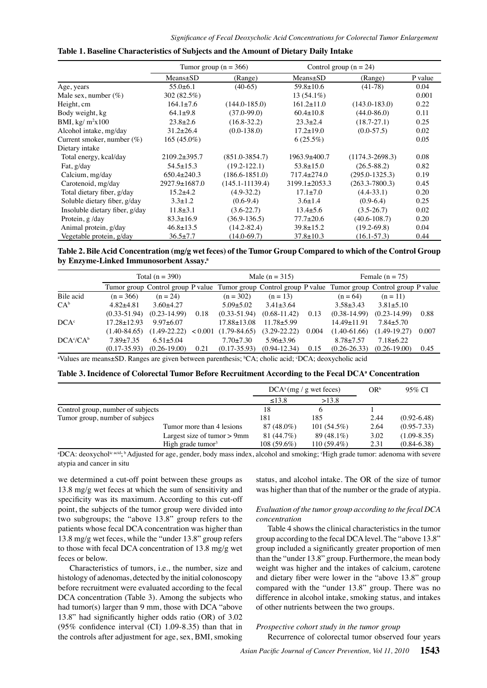|                                |                     | Tumor group ( $n = 366$ ) | Control group $(n = 24)$ |                     |         |
|--------------------------------|---------------------|---------------------------|--------------------------|---------------------|---------|
|                                | $Means \pm SD$      | (Range)                   | $Means \pm SD$           | (Range)             | P value |
| Age, years                     | $55.0+6.1$          | $(40-65)$                 | $59.8 \pm 10.6$          | $(41-78)$           | 0.04    |
| Male sex, number $(\%)$        | 302 (82.5%)         |                           | $13(54.1\%)$             |                     | 0.001   |
| Height, cm                     | $164.1 \pm 7.6$     | $(144.0 - 185.0)$         | $161.2 \pm 11.0$         | $(143.0 - 183.0)$   | 0.22    |
| Body weight, kg                | $64.1+9.8$          | $(37.0 - 99.0)$           | $60.4 \pm 10.8$          | $(44.0 - 86.0)$     | 0.11    |
| BMI, kg/ $m^2x100$             | $23.8 \pm 2.6$      | $(16.8 - 32.2)$           | $23.3 \pm 2.4$           | $(18.7 - 27.1)$     | 0.25    |
| Alcohol intake, mg/day         | $31.2 \pm 26.4$     | $(0.0-138.0)$             | $17.2 \pm 19.0$          | $(0.0 - 57.5)$      | 0.02    |
| Current smoker, number $(\%)$  | $165(45.0\%)$       |                           | $6(25.5\%)$              |                     | 0.05    |
| Dietary intake                 |                     |                           |                          |                     |         |
| Total energy, kcal/day         | $2109.2 \pm 395.7$  | $(851.0 - 3854.7)$        | $1963.9 \pm 400.7$       | $(1174.3 - 2698.3)$ | 0.08    |
| Fat, g/day                     | $54.5 \pm 15.3$     | $(19.2 - 122.1)$          | $53.8 \pm 15.0$          | $(26.5 - 88.2)$     | 0.82    |
| Calcium, mg/day                | $650.4 \pm 240.3$   | $(186.6 - 1851.0)$        | $717.4 \pm 274.0$        | $(295.0 - 1325.3)$  | 0.19    |
| Carotenoid, mg/day             | $2927.9 \pm 1687.0$ | $(145.1 - 11139.4)$       | $3199.1 \pm 2053.3$      | $(263.3 - 7800.3)$  | 0.45    |
| Total dietary fiber, g/day     | $15.2 + 4.2$        | $(4.9-32.2)$              | $17.1 \pm 7.0$           | $(4.4 - 33.1)$      | 0.20    |
| Soluble dietary fiber, g/day   | $3.3 \pm 1.2$       | $(0.6-9.4)$               | $3.6 \pm 1.4$            | $(0.9-6.4)$         | 0.25    |
| Insoluble dietary fiber, g/day | $11.8 \pm 3.1$      | $(3.6-22.7)$              | $13.4 \pm 5.6$           | $(3.5 - 26.7)$      | 0.02    |
| Protein, g/day                 | $83.3 \pm 16.9$     | $(36.9 - 136.5)$          | $77.7 \pm 20.6$          | $(40.6 - 108.7)$    | 0.20    |
| Animal protein, g/day          | $46.8 \pm 13.5$     | $(14.2 - 82.4)$           | $39.8 \pm 15.2$          | $(19.2 - 69.8)$     | 0.04    |
| Vegetable protein, g/day       | $36.5 \pm 7.7$      | $(14.0 - 69.7)$           | $37.8 \pm 10.3$          | $(16.1 - 57.3)$     | 0.44    |

#### **Table 1. Baseline Characteristics of Subjects and the Amount of Dietary Daily Intake**

100.0 **Table 2. Bile Acid Concentration (mg/g wet feces) of the Tumor Group Compared to which of the Control Group by Enzyme-Linked Immunosorbent Assay.a**

|                  | Total $(n = 390)$ |                  | Male $(n = 315)$ |                        | Female $(n = 75)$ |       | 75.0             |                                                                                                       |       |      |
|------------------|-------------------|------------------|------------------|------------------------|-------------------|-------|------------------|-------------------------------------------------------------------------------------------------------|-------|------|
|                  |                   |                  |                  |                        |                   |       |                  | Tumor group Control group P value Tumor group Control group P value Tumor group Control group P value |       |      |
| Bile acid        | $(n = 366)$       | $(n = 24)$       |                  | $(n = 302)$            | $(n = 13)$        |       | $(n = 64)$       | $(n = 11)$                                                                                            |       |      |
| $CA^b$           | $4.82 + 4.81$     | $3.60 + 4.27$    |                  | $5.09 + 5.02$          | $3.41 \pm 3.64$   |       | $3.58 \pm 3.43$  | $3.81 \pm 5.10$                                                                                       |       |      |
|                  | $(0.33 - 51.94)$  | $(0.23 - 14.99)$ | 0.18             | $(0.33 - 51.94)$       | $(0.68 - 11.42)$  | 0.13  | $(0.38-14.99)$   | $(0.23 - 14.99)$                                                                                      | 0.88  | 50.0 |
| $DCA^c$          | $17.28 \pm 12.93$ | $9.97 \pm 6.07$  |                  | $17.88 \pm 13.08$      | $11.78 + 5.99$    |       | 14.49±11.91      | $7.84 \pm 5.70$                                                                                       |       |      |
|                  | $(1.40 - 84.65)$  | $(1.49 - 22.22)$ |                  | $< 0.001$ (1.79-84.65) | $(3.29 - 22.22)$  | 0.004 | $(1.40 - 61.66)$ | $(1.49-19.27)$                                                                                        | 0.007 |      |
| $DCA^{c}/CA^{b}$ | $7.89 + 7.35$     | $6.51 + 5.04$    |                  | $7.70 \pm 7.30$        | $5.96 \pm 3.96$   |       | $8.78 + 7.57$    | $7.18 \pm 6.22$                                                                                       |       |      |
|                  | $(0.17 - 35.93)$  | $(0.26 - 19.00)$ | 0.21             | $(0.17 - 35.93)$       | $(0.94 - 12.34)$  | 0.15  | $(0.26 - 26.33)$ | $(0.26 - 19.00)$                                                                                      | 0.45  | 25.0 |
|                  |                   |                  |                  |                        |                   |       |                  |                                                                                                       |       |      |

<sup>a</sup>Values are means±SD. Ranges are given between parenthesis; <sup>b</sup>CA; cholic acid; <sup>c</sup>DCA; deoxycholic acid

#### Table 3. Incidence of Colorectal Tumor Before Recruitment According to the Fecal DCAª Concentration

|                                   |                                | $DCA^a$ (mg / g wet feces) |               | $OR^b$ | 95% CI          |
|-----------------------------------|--------------------------------|----------------------------|---------------|--------|-----------------|
|                                   |                                | $\leq$ 13.8                | >13.8         |        |                 |
| Control group, number of subjects |                                | 18                         |               |        |                 |
| Tumor group, number of subjecs    |                                | 181                        | 185           | 2.44   | $(0.92 - 6.48)$ |
|                                   | Tumor more than 4 lesions      | 87 (48.0%)                 | $101(54.5\%)$ | 2.64   | $(0.95 - 7.33)$ |
|                                   | Largest size of tumor $> 9$ mm | 81 (44.7%)                 | 89 (48.1%)    | 3.02   | $(1.09 - 8.35)$ |
|                                   | High grade tumor $3$           | $108(59.6\%)$              | $110(59.4\%)$ | 2.31   | $(0.84 - 6.38)$ |

<sup>a</sup>DCA: deoxychol<sup>ic acid</sup>; <sup>b</sup> Adjusted for age, gender, body mass index, alcohol and smoking; <sup>c</sup>High grade tumor: adenoma with severe atypia and cancer in situ

we determined a cut-off point between these groups as 13.8 mg/g wet feces at which the sum of sensitivity and specificity was its maximum. According to this cut-off point, the subjects of the tumor group were divided into two subgroups; the "above 13.8" group refers to the patients whose fecal DCA concentration was higher than 13.8 mg/g wet feces, while the "under 13.8" group refers to those with fecal DCA concentration of 13.8 mg/g wet feces or below.

Characteristics of tumors, i.e., the number, size and histology of adenomas, detected by the initial colonoscopy before recruitment were evaluated according to the fecal DCA concentration (Table 3). Among the subjects who had tumor(s) larger than 9 mm, those with DCA "above 13.8" had significantly higher odds ratio (OR) of 3.02 (95% confidence interval (CI) 1.09-8.35) than that in the controls after adjustment for age, sex, BMI, smoking status, and alcohol intake. The OR of the size of tumor was higher than that of the number or the grade of atypia.

## *Evaluation of the tumor group according to the fecal DCA concentration*

Table 4 shows the clinical characteristics in the tumor group according to the fecal DCA level. The "above 13.8" group included a significantly greater proportion of men than the "under 13.8" group. Furthermore, the mean body weight was higher and the intakes of calcium, carotene and dietary fiber were lower in the "above 13.8" group compared with the "under 13.8" group. There was no difference in alcohol intake, smoking status, and intakes of other nutrients between the two groups.

#### *Prospective cohort study in the tumor group*

Recurrence of colorectal tumor observed four years

**20.3 6.3 10.1**

**46.8 56.3**

 $\Omega$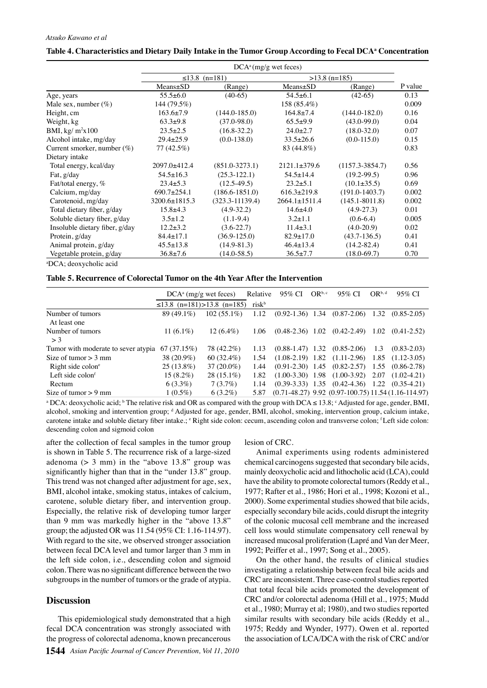#### *Atsuko Kawano et al*

|                                | $DCA^a$ (mg/g wet feces) |                     |                     |                     |         |  |
|--------------------------------|--------------------------|---------------------|---------------------|---------------------|---------|--|
|                                |                          | $\leq$ 13.8 (n=181) | $>13.8$ (n=185)     |                     |         |  |
|                                | Means±SD                 | (Range)             | Means±SD            | (Range)             | P value |  |
| Age, years                     | $55.5 \pm 6.0$           | $(40-65)$           | $54.5 \pm 6.1$      | $(42-65)$           | 0.13    |  |
| Male sex, number $(\%)$        | 144 (79.5%)              |                     | 158 (85.4%)         |                     | 0.009   |  |
| Height, cm                     | $163.6{\pm}7.9$          | $(144.0 - 185.0)$   | $164.8 \pm 7.4$     | $(144.0 - 182.0)$   | 0.16    |  |
| Weight, kg                     | $63.3+9.8$               | $(37.0 - 98.0)$     | $65.5+9.9$          | $(43.0 - 99.0)$     | 0.04    |  |
| BMI, $\frac{kg}{m^2x100}$      | $23.5 \pm 2.5$           | $(16.8 - 32.2)$     | $24.0 \pm 2.7$      | $(18.0 - 32.0)$     | 0.07    |  |
| Alcohol intake, mg/day         | $29.4 \pm 25.9$          | $(0.0-138.0)$       | $33.5 \pm 26.6$     | $(0.0-115.0)$       | 0.15    |  |
| Current smorker, number $(\%)$ | 77 (42.5%)               |                     | 83 (44.8%)          |                     | 0.83    |  |
| Dietary intake                 |                          |                     |                     |                     |         |  |
| Total energy, kcal/day         | 2097.0±412.4             | $(851.0 - 3273.1)$  | $2121.1 \pm 379.6$  | $(1157.3 - 3854.7)$ | 0.56    |  |
| Fat, g/day                     | $54.5 \pm 16.3$          | $(25.3 - 122.1)$    | $54.5 \pm 14.4$     | $(19.2 - 99.5)$     | 0.96    |  |
| Fat/total energy, %            | $23.4 \pm 5.3$           | $(12.5-49.5)$       | $23.2 \pm 5.1$      | $(10.1 \pm 35.5)$   | 0.69    |  |
| Calcium, mg/day                | $690.7 \pm 254.1$        | $(186.6 - 1851.0)$  | $616.3 \pm 219.8$   | $(191.0 - 1403.7)$  | 0.002   |  |
| Carotenoid, mg/day             | 3200.6±1815.3            | $(323.3 - 11139.4)$ | $2664.1 \pm 1511.4$ | $(145.1 - 8011.8)$  | 0.002   |  |
| Total dietary fiber, g/day     | $15.8 + 4.3$             | $(4.9-32.2)$        | $14.6 \pm 4.0$      | $(4.9-27.3)$        | 0.01    |  |
| Soluble dietary fiber, g/day   | $3.5 \pm 1.2$            | $(1.1-9.4)$         | $3.2 \pm 1.1$       | $(0.6-6.4)$         | 0.005   |  |
| Insoluble dietary fiber, g/day | $12.2 \pm 3.2$           | $(3.6-22.7)$        | $11.4 \pm 3.1$      | $(4.0-20.9)$        | 0.02    |  |
| Protein, g/day                 | $84.4 \pm 17.1$          | $(36.9 - 125.0)$    | $82.9 \pm 17.0$     | $(43.7-136.5)$      | 0.41    |  |
| Animal protein, g/day          | $45.5 \pm 13.8$          | $(14.9 - 81.3)$     | $46.4 \pm 13.4$     | $(14.2 - 82.4)$     | 0.41    |  |
| Vegetable protein, g/day       | $36.8 \pm 7.6$           | $(14.0 - 58.5)$     | $36.5 \pm 7.7$      | $(18.0 - 69.7)$     | 0.70    |  |

## Table 4. Characteristics and Dietary Daily Intake in the Tumor Group According to Fecal DCAª Concentration

a DCA; deoxycholic acid

#### **Table 5. Recurrence of Colorectal Tumor on the 4th Year After the Intervention**

|                                                   | $DCA^a$ (mg/g wet feces)         |               | Relative          | 95% CI | OR <sup>b, c</sup> | 95% CI                                              | $OR^{b,d}$ | 95% CI                                                    |
|---------------------------------------------------|----------------------------------|---------------|-------------------|--------|--------------------|-----------------------------------------------------|------------|-----------------------------------------------------------|
|                                                   | $\leq$ 13.8 (n=181)>13.8 (n=185) |               | risk <sup>b</sup> |        |                    |                                                     |            |                                                           |
| Number of tumors<br>At least one                  | 89 (49.1%)                       | $102(55.1\%)$ | 1.12              |        |                    | $(0.92-1.36)$ 1.34 $(0.87-2.06)$ 1.32 $(0.85-2.05)$ |            |                                                           |
| Number of tumors<br>$>$ 3                         | 11 $(6.1\%)$                     | $12(6.4\%)$   | 1.06              |        |                    | $(0.48-2.36)$ 1.02 $(0.42-2.49)$                    |            | $1.02 \quad (0.41 - 2.52)$                                |
| Tumor with moderate to sever atypia $67 (37.15%)$ |                                  | 78 (42.2%)    | 1.13              |        |                    | $(0.88-1.47)$ 1.32 $(0.85-2.06)$                    | 1.3        | $(0.83 - 2.03)$                                           |
| Size of tumor $> 3$ mm                            | 38 (20.9%)                       | $60(32.4\%)$  | 1.54              |        |                    | $(1.08-2.19)$ 1.82 $(1.11-2.96)$ 1.85 $(1.12-3.05)$ |            |                                                           |
| Right side colone                                 | $25(13.8\%)$                     | $37(20.0\%)$  | 1.44              |        |                    | $(0.91-2.30)$ 1.45 $(0.82-2.57)$ 1.55 $(0.86-2.78)$ |            |                                                           |
| Left side $\text{color}^f$                        | $15(8.2\%)$                      | $28(15.1\%)$  | 1.82              |        |                    | $(1.00-3.30)$ 1.98 $(1.00-3.92)$ 2.07 $(1.02-4.21)$ |            |                                                           |
| Rectum                                            | $6(3.3\%)$                       | $7(3.7\%)$    | 1.14              |        |                    | $(0.39-3.33)$ 1.35 $(0.42-4.36)$ 1.22 $(0.35-4.21)$ |            |                                                           |
| Size of tumor $> 9$ mm                            | $1(0.5\%)$                       | $6(3.2\%)$    | 5.87              |        |                    |                                                     |            | $(0.71-48.27)$ 9.92 $(0.97-100.75)$ 11.54 $(1.16-114.97)$ |

<sup>a</sup> DCA: deoxycholic acid; <sup>b</sup> The relative risk and OR as compared with the group with DCA  $\leq 13.8$ ;  $\cdot$  Adjusted for age, gender, BMI, alcohol, smoking and intervention group; d Adjusted for age, gender, BMI, alcohol, smoking, intervention group, calcium intake, carotene intake and soluble dietary fiber intake.;  $\epsilon$  Right side colon: cecum, ascending colon and transverse colon;  $\epsilon$ Left side colon: descending colon and sigmoid colon

after the collection of fecal samples in the tumor group is shown in Table 5. The recurrence risk of a large-sized adenoma  $(> 3$  mm) in the "above 13.8" group was significantly higher than that in the "under 13.8" group. This trend was not changed after adjustment for age, sex, BMI, alcohol intake, smoking status, intakes of calcium, carotene, soluble dietary fiber, and intervention group. Especially, the relative risk of developing tumor larger than 9 mm was markedly higher in the "above 13.8" group; the adjusted OR was 11.54 (95% CI: 1.16-114.97). With regard to the site, we observed stronger association between fecal DCA level and tumor larger than 3 mm in the left side colon, i.e., descending colon and sigmoid colon. There was no significant difference between the two subgroups in the number of tumors or the grade of atypia.

## **Discussion**

This epidemiological study demonstrated that a high fecal DCA concentration was strongly associated with the progress of colorectal adenoma, known precancerous

lesion of CRC.

Animal experiments using rodents administered chemical carcinogens suggested that secondary bile acids, mainly deoxycholic acid and lithocholic acid (LCA), could have the ability to promote colorectal tumors (Reddy et al., 1977; Rafter et al., 1986; Hori et al., 1998; Kozoni et al., 2000). Some experimental studies showed that bile acids, especially secondary bile acids, could disrupt the integrity of the colonic mucosal cell membrane and the increased cell loss would stimulate compensatory cell renewal by increased mucosal proliferation (Lapré and Van der Meer, 1992; Peiffer et al., 1997; Song et al., 2005).

On the other hand, the results of clinical studies investigating a relationship between fecal bile acids and CRC are inconsistent. Three case-control studies reported that total fecal bile acids promoted the development of CRC and/or colorectal adenoma (Hill et al., 1975; Mudd et al., 1980; Murray et al; 1980), and two studies reported similar results with secondary bile acids (Reddy et al., 1975; Reddy and Wynder, 1977). Owen et al. reported the association of LCA/DCA with the risk of CRC and/or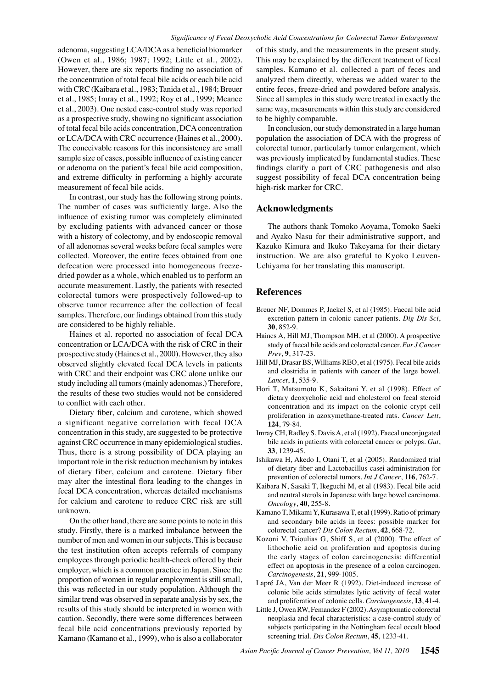adenoma, suggesting LCA/DCA as a beneficial biomarker (Owen et al., 1986; 1987; 1992; Little et al., 2002). However, there are six reports finding no association of the concentration of total fecal bile acids or each bile acid with CRC (Kaibara et al., 1983; Tanida et al., 1984; Breuer et al., 1985; Imray et al., 1992; Roy et al., 1999; Meance et al., 2003). One nested case-control study was reported as a prospective study, showing no significant association of total fecal bile acids concentration, DCA concentration or LCA/DCA with CRC occurrence (Haines et al., 2000). The conceivable reasons for this inconsistency are small sample size of cases, possible influence of existing cancer or adenoma on the patient's fecal bile acid composition, and extreme difficulty in performing a highly accurate measurement of fecal bile acids.

In contrast, our study has the following strong points. The number of cases was sufficiently large. Also the influence of existing tumor was completely eliminated by excluding patients with advanced cancer or those with a history of colectomy, and by endoscopic removal of all adenomas several weeks before fecal samples were collected. Moreover, the entire feces obtained from one defecation were processed into homogeneous freezedried powder as a whole, which enabled us to perform an accurate measurement. Lastly, the patients with resected colorectal tumors were prospectively followed-up to observe tumor recurrence after the collection of fecal samples. Therefore, our findings obtained from this study are considered to be highly reliable.

Haines et al. reported no association of fecal DCA concentration or LCA/DCA with the risk of CRC in their prospective study (Haines et al., 2000). However, they also observed slightly elevated fecal DCA levels in patients with CRC and their endpoint was CRC alone unlike our study including all tumors (mainly adenomas.) Therefore, the results of these two studies would not be considered to conflict with each other.

Dietary fiber, calcium and carotene, which showed a significant negative correlation with fecal DCA concentration in this study, are suggested to be protective against CRC occurrence in many epidemiological studies. Thus, there is a strong possibility of DCA playing an important role in the risk reduction mechanism by intakes of dietary fiber, calcium and carotene. Dietary fiber may alter the intestinal flora leading to the changes in fecal DCA concentration, whereas detailed mechanisms for calcium and carotene to reduce CRC risk are still unknown.

On the other hand, there are some points to note in this study. Firstly, there is a marked imbalance between the number of men and women in our subjects. This is because the test institution often accepts referrals of company employees through periodic health-check offered by their employer, which is a common practice in Japan. Since the proportion of women in regular employment is still small, this was reflected in our study population. Although the similar trend was observed in separate analysis by sex, the results of this study should be interpreted in women with caution. Secondly, there were some differences between fecal bile acid concentrations previously reported by Kamano (Kamano et al., 1999), who is also a collaborator

of this study, and the measurements in the present study. This may be explained by the different treatment of fecal samples. Kamano et al. collected a part of feces and analyzed them directly, whereas we added water to the entire feces, freeze-dried and powdered before analysis. Since all samples in this study were treated in exactly the same way, measurements within this study are considered to be highly comparable.

In conclusion, our study demonstrated in a large human population the association of DCA with the progress of colorectal tumor, particularly tumor enlargement, which was previously implicated by fundamental studies. These findings clarify a part of CRC pathogenesis and also suggest possibility of fecal DCA concentration being high-risk marker for CRC.

### **Acknowledgments**

The authors thank Tomoko Aoyama, Tomoko Saeki and Ayako Nasu for their administrative support, and Kazuko Kimura and Ikuko Takeyama for their dietary instruction. We are also grateful to Kyoko Leuven-Uchiyama for her translating this manuscript.

## **References**

- Breuer NF, Dommes P, Jaekel S, et al (1985). Faecal bile acid excretion pattern in colonic cancer patients. *Dig Dis Sci*, **30**, 852-9.
- Haines A, Hill MJ, Thompson MH, et al (2000). A prospective study of faecal bile acids and colorectal cancer. *Eur J Cancer Prev*, **9**, 317-23.
- Hill MJ, Drasar BS, Williams REO, et al (1975). Fecal bile acids and clostridia in patients with cancer of the large bowel. *Lancet*, **1**, 535-9.
- Hori T, Matsumoto K, Sakaitani Y, et al (1998). Effect of dietary deoxycholic acid and cholesterol on fecal steroid concentration and its impact on the colonic crypt cell proliferation in azoxymethane-treated rats. *Cancer Lett*, **124**, 79-84.
- Imray CH, Radley S, Davis A, et al (1992). Faecal unconjugated bile acids in patients with colorectal cancer or polyps. *Gut*, **33**, 1239-45.
- Ishikawa H, Akedo I, Otani T, et al (2005). Randomized trial of dietary fiber and Lactobacillus casei administration for prevention of colorectal tumors. *Int J Cancer*, **116**, 762-7.
- Kaibara N, Sasaki T, Ikeguchi M, et al (1983). Fecal bile acid and neutral sterols in Japanese with large bowel carcinoma. *Oncology*, **40**, 255-8.
- Kamano T, Mikami Y, Kurasawa T, et al (1999). Ratio of primary and secondary bile acids in feces: possible marker for colorectal cancer? *Dis Colon Rectum*, **42**, 668-72.
- Kozoni V, Tsioulias G, Shiff S, et al (2000). The effect of lithocholic acid on proliferation and apoptosis during the early stages of colon carcinogenesis: differential effect on apoptosis in the presence of a colon carcinogen. *Carcinogenesis*, **21**, 999-1005.
- Lapré JA, Van der Meer R (1992). Diet-induced increase of colonic bile acids stimulates lytic activity of fecal water and proliferation of colonic cells. *Carcinogenesis*, **13**, 41-4.
- Little J, Owen RW, Femandez F (2002). Asymptomatic colorectal neoplasia and fecal characteristics: a case-control study of subjects participating in the Nottingham fecal occult blood screening trial. *Dis Colon Rectum*, **45**, 1233-41.